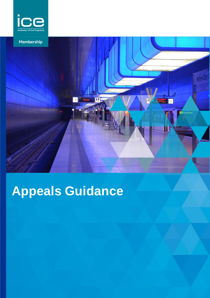



# **Appeals Guidance**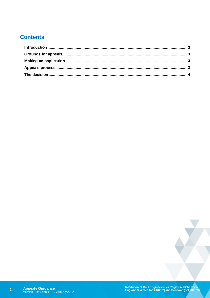# **Contents**

 $\overline{2}$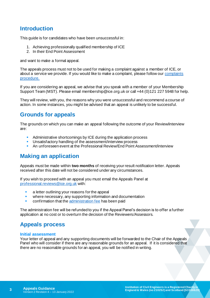## <span id="page-2-0"></span>**Introduction**

This guide is for candidates who have been unsuccessful in:

- 1. Achieving professionally qualified membership of ICE
- 2. In their End Point Assessment

and want to make a formal appeal.

The appeals process must not to be used for making a complaint against a member of ICE, or about a service we provide. If you would like to make a complaint, please follow ou[r complaints](https://www.ice.org.uk/about-ice/who-to-contact#complaints)  [procedure.](https://www.ice.org.uk/about-ice/who-to-contact#complaints)

If you are considering an appeal, we advise that you speak with a member of your Membership Support Team (MST). Please email membership@ice.org.uk or call +44 (0)121 227 5948 for help.

They will review, with you, the reasons why you were unsuccessful and recommend a course of action. In some instances, you might be advised that an appeal is unlikely to be successful.

## <span id="page-2-1"></span>**Grounds for appeals**

The grounds on which you can make an appeal following the outcome of your Review/interview are:

- Administrative shortcomings by ICE during the application process
- Unsatisfactory handling of the assessment/interview process
- An unforeseen event at the Professional Review/End Point Assessment/interview

## <span id="page-2-2"></span>**Making an application**

Appeals must be made within **two months** of receiving your result notification letter. Appeals received after this date will not be considered under any circumstances.

If you wish to proceed with an appeal you must email the Appeals Panel at [professional.reviews@ice.org.uk](mailto:professional.reviews@ice.org.uk) with:

- a letter outlining your reasons for the appeal
- where necessary, any supporting information and documentation
- confirmation that th[e administration fee](https://www.ice.org.uk/my-ice/membership-documents/membership-fees-and-subscriptions#Application) has been paid

The administration fee will be refunded to you if the Appeal Panel's decision is to offer a further application at no cost or to overturn the decision of the Reviewers/Assessors.

## <span id="page-2-3"></span>**Appeals process**

## **Initial assessment**

Your letter of appeal and any supporting documents will be forwarded to the Chair of the Appeals Panel who will consider if there are any reasonable grounds for an appeal. If it is considered that there are no reasonable grounds for an appeal, you will be notified in writing.

**3**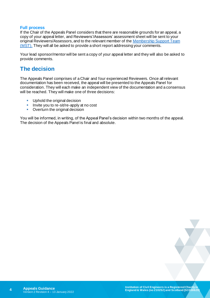#### **Full process**

If the Chair of the Appeals Panel considers that there are reasonable grounds for an appeal, a copy of your appeal letter, and Reviewers'/Assessors' assessment sheet will be sent to your original Reviewers/Assessors, and to the relevant member of th[e Membership Support](https://www.ice.org.uk/about-ice/near-you) Team [\(MST\).](https://www.ice.org.uk/about-ice/near-you) They will all be asked to provide a short report addressing your comments.

Your lead sponsor/mentor will be sent a copy of your appeal letter and they will also be asked to provide comments.

## <span id="page-3-0"></span>**The decision**

The Appeals Panel comprises of a Chair and four experienced Reviewers. Once all relevant documentation has been received, the appeal will be presented to the Appeals Panel for consideration. They will each make an independent view of the documentation and a consensus will be reached. They will make one of three decisions:

- Uphold the original decision
- **E** Invite you to re-sit/re-apply at no cost
- Overturn the original decision

You will be informed, in writing, of the Appeal Panel's decision within two months of the appeal. The decision of the Appeals Panel is final and absolute.

**4**